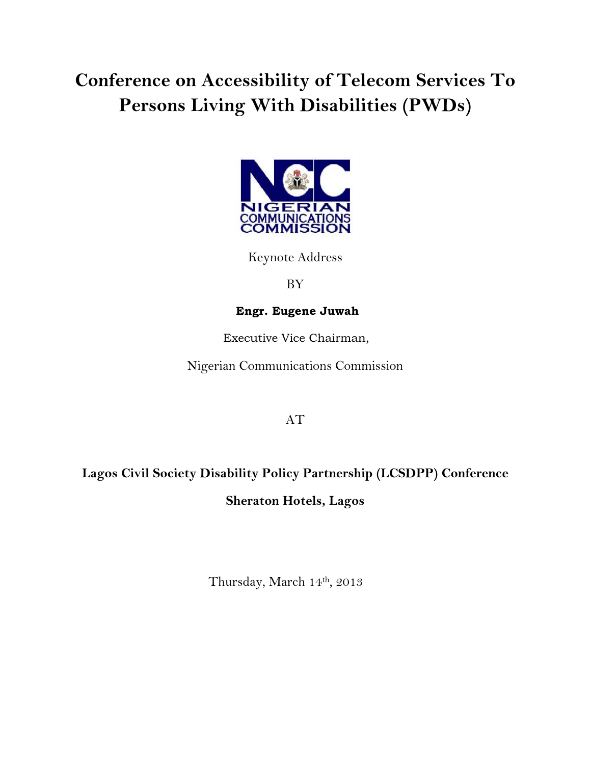# Conference on Accessibility of Telecom Services To Persons Living With Disabilities (PWDs)



Keynote Address

BY

### Engr. Eugene Juwah

Executive Vice Chairman,

Nigerian Communications Commission

## AT

## Lagos Civil Society Disability Policy Partnership (LCSDPP) Conference Sheraton Hotels, Lagos

Thursday, March 14th, 2013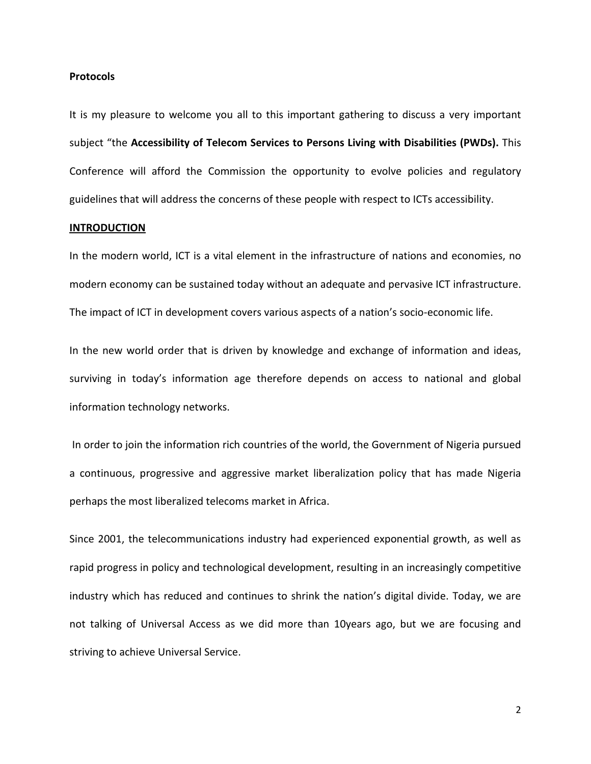#### Protocols

It is my pleasure to welcome you all to this important gathering to discuss a very important subject "the Accessibility of Telecom Services to Persons Living with Disabilities (PWDs). This Conference will afford the Commission the opportunity to evolve policies and regulatory guidelines that will address the concerns of these people with respect to ICTs accessibility.

#### **INTRODUCTION**

In the modern world, ICT is a vital element in the infrastructure of nations and economies, no modern economy can be sustained today without an adequate and pervasive ICT infrastructure. The impact of ICT in development covers various aspects of a nation's socio-economic life.

In the new world order that is driven by knowledge and exchange of information and ideas, surviving in today's information age therefore depends on access to national and global information technology networks.

 In order to join the information rich countries of the world, the Government of Nigeria pursued a continuous, progressive and aggressive market liberalization policy that has made Nigeria perhaps the most liberalized telecoms market in Africa.

Since 2001, the telecommunications industry had experienced exponential growth, as well as rapid progress in policy and technological development, resulting in an increasingly competitive industry which has reduced and continues to shrink the nation's digital divide. Today, we are not talking of Universal Access as we did more than 10years ago, but we are focusing and striving to achieve Universal Service.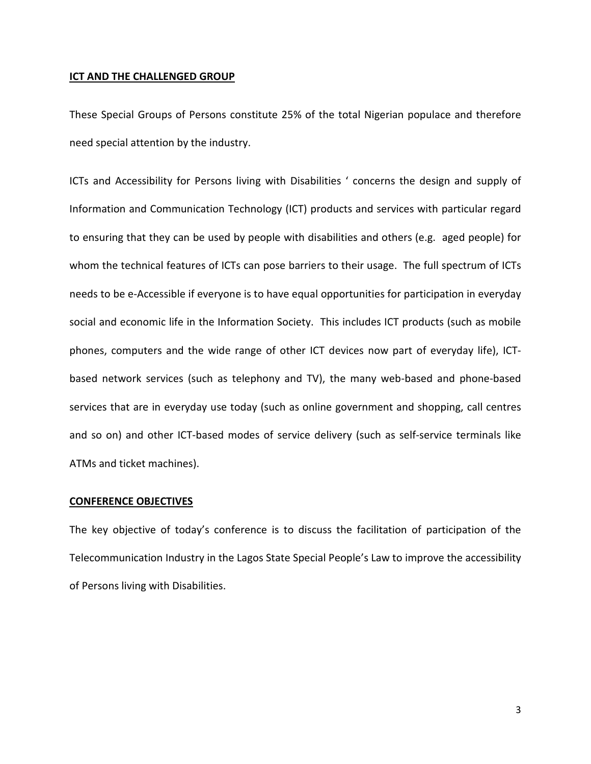#### ICT AND THE CHALLENGED GROUP

These Special Groups of Persons constitute 25% of the total Nigerian populace and therefore need special attention by the industry.

ICTs and Accessibility for Persons living with Disabilities ' concerns the design and supply of Information and Communication Technology (ICT) products and services with particular regard to ensuring that they can be used by people with disabilities and others (e.g. aged people) for whom the technical features of ICTs can pose barriers to their usage. The full spectrum of ICTs needs to be e-Accessible if everyone is to have equal opportunities for participation in everyday social and economic life in the Information Society. This includes ICT products (such as mobile phones, computers and the wide range of other ICT devices now part of everyday life), ICTbased network services (such as telephony and TV), the many web-based and phone-based services that are in everyday use today (such as online government and shopping, call centres and so on) and other ICT-based modes of service delivery (such as self-service terminals like ATMs and ticket machines).

#### CONFERENCE OBJECTIVES

The key objective of today's conference is to discuss the facilitation of participation of the Telecommunication Industry in the Lagos State Special People's Law to improve the accessibility of Persons living with Disabilities.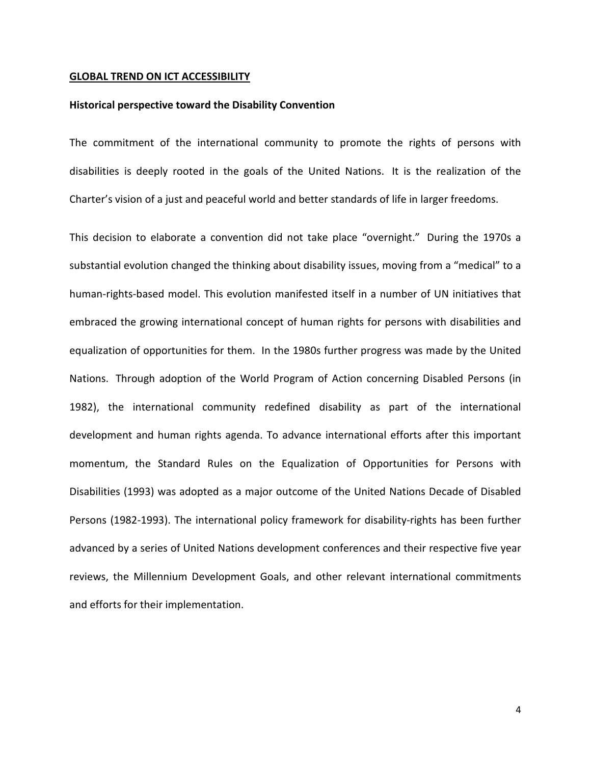#### GLOBAL TREND ON ICT ACCESSIBILITY

#### Historical perspective toward the Disability Convention

The commitment of the international community to promote the rights of persons with disabilities is deeply rooted in the goals of the United Nations. It is the realization of the Charter's vision of a just and peaceful world and better standards of life in larger freedoms.

This decision to elaborate a convention did not take place "overnight." During the 1970s a substantial evolution changed the thinking about disability issues, moving from a "medical" to a human-rights-based model. This evolution manifested itself in a number of UN initiatives that embraced the growing international concept of human rights for persons with disabilities and equalization of opportunities for them. In the 1980s further progress was made by the United Nations. Through adoption of the World Program of Action concerning Disabled Persons (in 1982), the international community redefined disability as part of the international development and human rights agenda. To advance international efforts after this important momentum, the Standard Rules on the Equalization of Opportunities for Persons with Disabilities (1993) was adopted as a major outcome of the United Nations Decade of Disabled Persons (1982-1993). The international policy framework for disability-rights has been further advanced by a series of United Nations development conferences and their respective five year reviews, the Millennium Development Goals, and other relevant international commitments and efforts for their implementation.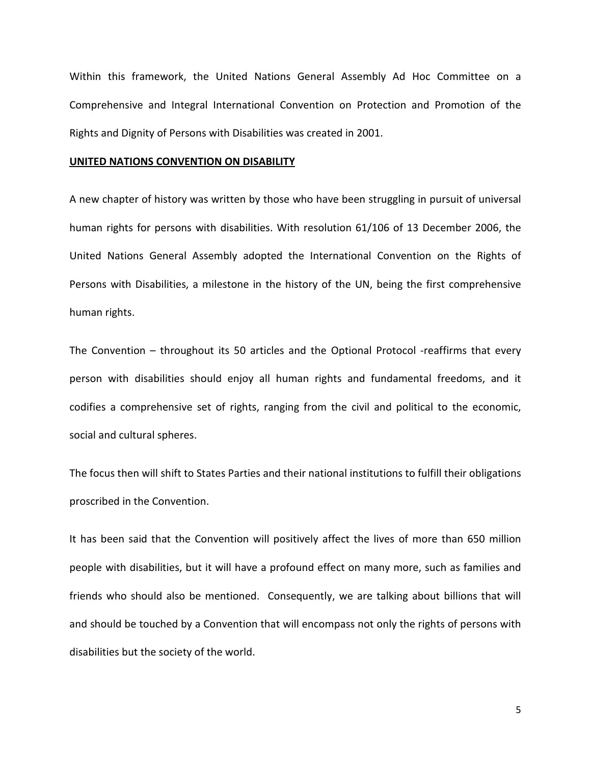Within this framework, the United Nations General Assembly Ad Hoc Committee on a Comprehensive and Integral International Convention on Protection and Promotion of the Rights and Dignity of Persons with Disabilities was created in 2001.

#### UNITED NATIONS CONVENTION ON DISABILITY

A new chapter of history was written by those who have been struggling in pursuit of universal human rights for persons with disabilities. With resolution 61/106 of 13 December 2006, the United Nations General Assembly adopted the International Convention on the Rights of Persons with Disabilities, a milestone in the history of the UN, being the first comprehensive human rights.

The Convention – throughout its 50 articles and the Optional Protocol -reaffirms that every person with disabilities should enjoy all human rights and fundamental freedoms, and it codifies a comprehensive set of rights, ranging from the civil and political to the economic, social and cultural spheres.

The focus then will shift to States Parties and their national institutions to fulfill their obligations proscribed in the Convention.

It has been said that the Convention will positively affect the lives of more than 650 million people with disabilities, but it will have a profound effect on many more, such as families and friends who should also be mentioned. Consequently, we are talking about billions that will and should be touched by a Convention that will encompass not only the rights of persons with disabilities but the society of the world.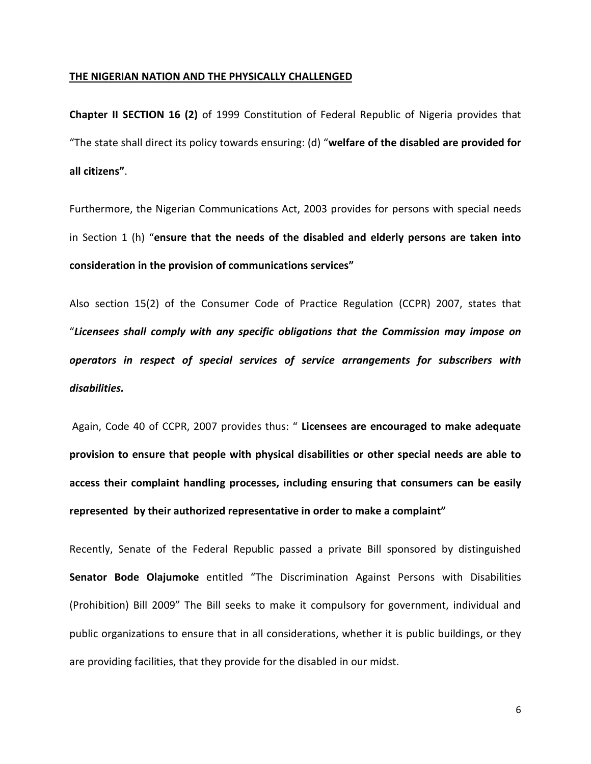#### THE NIGERIAN NATION AND THE PHYSICALLY CHALLENGED

Chapter II SECTION 16 (2) of 1999 Constitution of Federal Republic of Nigeria provides that "The state shall direct its policy towards ensuring: (d) "welfare of the disabled are provided for all citizens".

Furthermore, the Nigerian Communications Act, 2003 provides for persons with special needs in Section 1 (h) "ensure that the needs of the disabled and elderly persons are taken into consideration in the provision of communications services"

Also section 15(2) of the Consumer Code of Practice Regulation (CCPR) 2007, states that "Licensees shall comply with any specific obligations that the Commission may impose on operators in respect of special services of service arrangements for subscribers with disabilities.

Again, Code 40 of CCPR, 2007 provides thus: " Licensees are encouraged to make adequate provision to ensure that people with physical disabilities or other special needs are able to access their complaint handling processes, including ensuring that consumers can be easily represented by their authorized representative in order to make a complaint"

Recently, Senate of the Federal Republic passed a private Bill sponsored by distinguished Senator Bode Olajumoke entitled "The Discrimination Against Persons with Disabilities (Prohibition) Bill 2009" The Bill seeks to make it compulsory for government, individual and public organizations to ensure that in all considerations, whether it is public buildings, or they are providing facilities, that they provide for the disabled in our midst.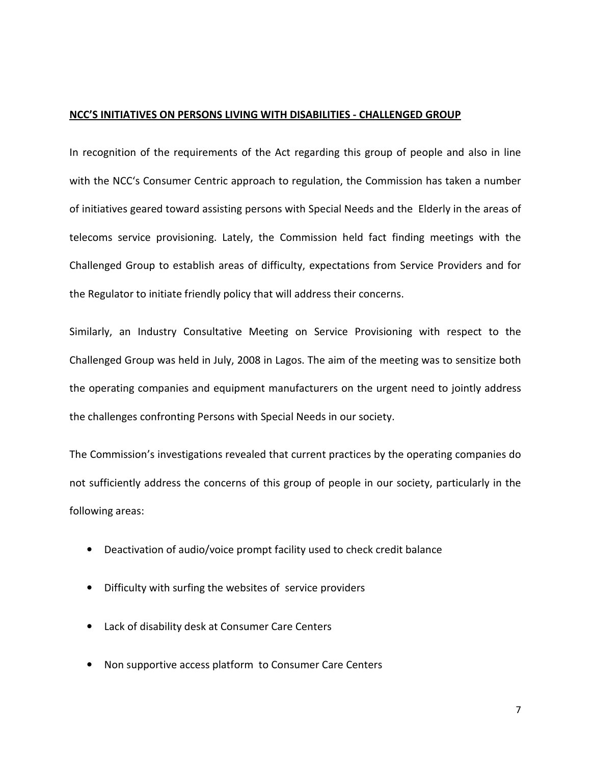#### NCC'S INITIATIVES ON PERSONS LIVING WITH DISABILITIES - CHALLENGED GROUP

In recognition of the requirements of the Act regarding this group of people and also in line with the NCC's Consumer Centric approach to regulation, the Commission has taken a number of initiatives geared toward assisting persons with Special Needs and the Elderly in the areas of telecoms service provisioning. Lately, the Commission held fact finding meetings with the Challenged Group to establish areas of difficulty, expectations from Service Providers and for the Regulator to initiate friendly policy that will address their concerns.

Similarly, an Industry Consultative Meeting on Service Provisioning with respect to the Challenged Group was held in July, 2008 in Lagos. The aim of the meeting was to sensitize both the operating companies and equipment manufacturers on the urgent need to jointly address the challenges confronting Persons with Special Needs in our society.

The Commission's investigations revealed that current practices by the operating companies do not sufficiently address the concerns of this group of people in our society, particularly in the following areas:

- Deactivation of audio/voice prompt facility used to check credit balance
- Difficulty with surfing the websites of service providers
- Lack of disability desk at Consumer Care Centers
- Non supportive access platform to Consumer Care Centers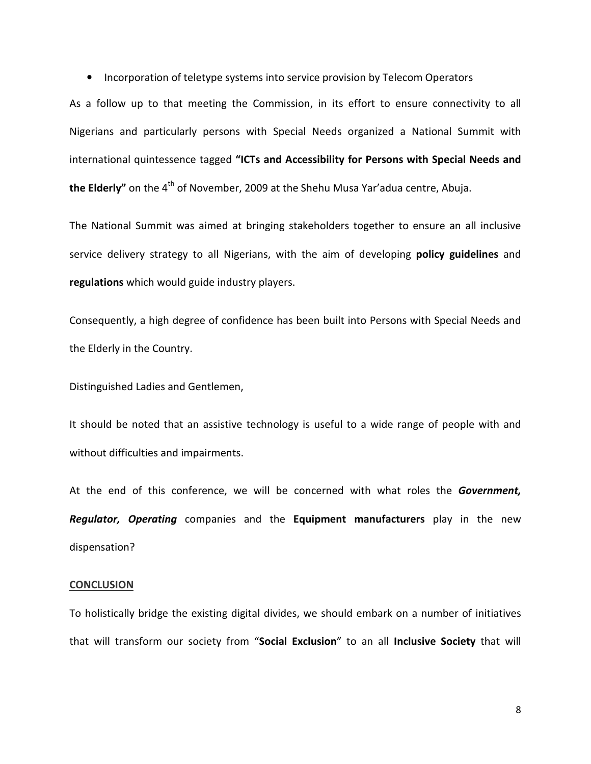• Incorporation of teletype systems into service provision by Telecom Operators

As a follow up to that meeting the Commission, in its effort to ensure connectivity to all Nigerians and particularly persons with Special Needs organized a National Summit with international quintessence tagged "ICTs and Accessibility for Persons with Special Needs and the Elderly" on the  $4<sup>th</sup>$  of November, 2009 at the Shehu Musa Yar'adua centre, Abuja.

The National Summit was aimed at bringing stakeholders together to ensure an all inclusive service delivery strategy to all Nigerians, with the aim of developing **policy guidelines** and regulations which would guide industry players.

Consequently, a high degree of confidence has been built into Persons with Special Needs and the Elderly in the Country.

Distinguished Ladies and Gentlemen,

It should be noted that an assistive technology is useful to a wide range of people with and without difficulties and impairments.

At the end of this conference, we will be concerned with what roles the Government, Regulator, Operating companies and the Equipment manufacturers play in the new dispensation?

#### **CONCLUSION**

To holistically bridge the existing digital divides, we should embark on a number of initiatives that will transform our society from "Social Exclusion" to an all Inclusive Society that will